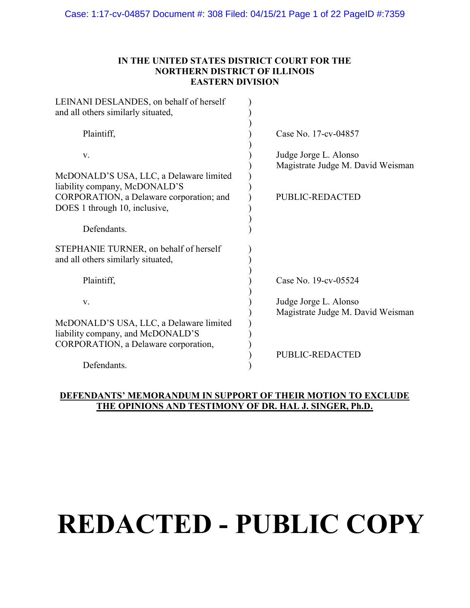# IN THE UNITED STATES DISTRICT COURT FOR THE NORTHERN DISTRICT OF ILLINOIS EASTERN DIVISION

| LEINANI DESLANDES, on behalf of herself<br>and all others similarly situated, |                                                            |
|-------------------------------------------------------------------------------|------------------------------------------------------------|
| Plaintiff,                                                                    | Case No. 17-cv-04857                                       |
| V.                                                                            | Judge Jorge L. Alonso<br>Magistrate Judge M. David Weisman |
| McDONALD'S USA, LLC, a Delaware limited<br>liability company, McDONALD'S      |                                                            |
| CORPORATION, a Delaware corporation; and<br>DOES 1 through 10, inclusive,     | <b>PUBLIC-REDACTED</b>                                     |
| Defendants.                                                                   |                                                            |
| STEPHANIE TURNER, on behalf of herself<br>and all others similarly situated,  |                                                            |
| Plaintiff,                                                                    | Case No. 19-cv-05524                                       |
| V.                                                                            | Judge Jorge L. Alonso<br>Magistrate Judge M. David Weisman |
| McDONALD'S USA, LLC, a Delaware limited<br>liability company, and McDONALD'S  |                                                            |
| CORPORATION, a Delaware corporation,                                          | <b>PUBLIC-REDACTED</b>                                     |
| Defendants.                                                                   |                                                            |

# DEFENDANTS' MEMORANDUM IN SUPPORT OF THEIR MOTION TO EXCLUDE THE OPINIONS AND TESTIMONY OF DR. HAL J. SINGER, Ph.D.

# **REDACTED - PUBLIC COPY**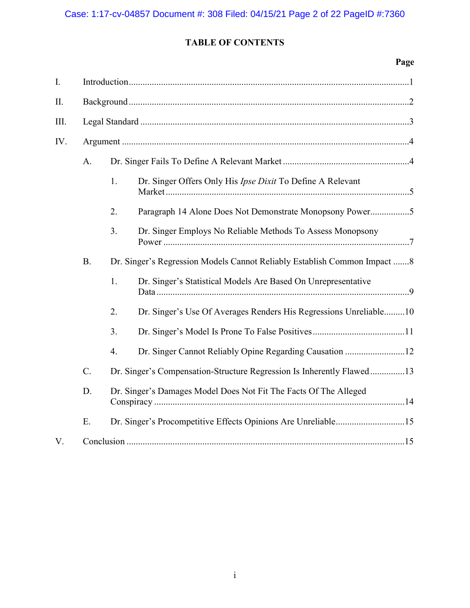# TABLE OF CONTENTS

# Page

| I.   |                                                                        |    |                                                                          |  |  |  |
|------|------------------------------------------------------------------------|----|--------------------------------------------------------------------------|--|--|--|
| П.   |                                                                        |    |                                                                          |  |  |  |
| III. |                                                                        |    |                                                                          |  |  |  |
| IV.  |                                                                        |    |                                                                          |  |  |  |
|      | A.                                                                     |    |                                                                          |  |  |  |
|      |                                                                        | 1. | Dr. Singer Offers Only His Ipse Dixit To Define A Relevant               |  |  |  |
|      |                                                                        | 2. | Paragraph 14 Alone Does Not Demonstrate Monopsony Power5                 |  |  |  |
|      |                                                                        | 3. | Dr. Singer Employs No Reliable Methods To Assess Monopsony               |  |  |  |
|      | <b>B.</b>                                                              |    | Dr. Singer's Regression Models Cannot Reliably Establish Common Impact 8 |  |  |  |
|      |                                                                        | 1. | Dr. Singer's Statistical Models Are Based On Unrepresentative            |  |  |  |
|      |                                                                        | 2. | Dr. Singer's Use Of Averages Renders His Regressions Unreliable10        |  |  |  |
|      |                                                                        | 3. |                                                                          |  |  |  |
|      |                                                                        | 4. |                                                                          |  |  |  |
|      | C.                                                                     |    | Dr. Singer's Compensation-Structure Regression Is Inherently Flawed13    |  |  |  |
|      | Dr. Singer's Damages Model Does Not Fit The Facts Of The Alleged<br>D. |    |                                                                          |  |  |  |
|      | E.                                                                     |    |                                                                          |  |  |  |
| V.   |                                                                        |    |                                                                          |  |  |  |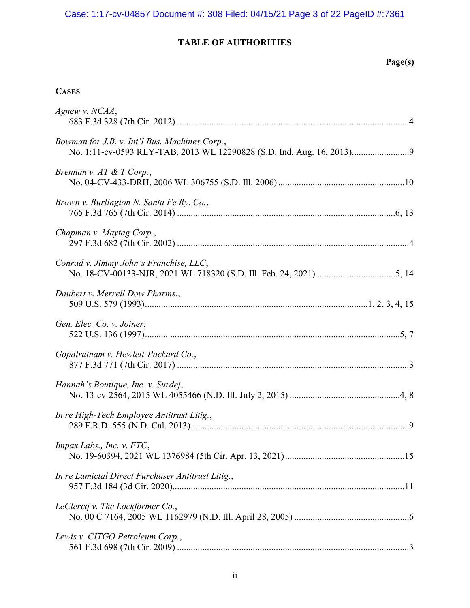# Case: 1:17-cv-04857 Document #: 308 Filed: 04/15/21 Page 3 of 22 PageID #:7361

# TABLE OF AUTHORITIES

# Page(s)

# **CASES**

| Agnew v. NCAA,                                    |
|---------------------------------------------------|
| Bowman for J.B. v. Int'l Bus. Machines Corp.,     |
| Brennan v. AT & T Corp.,                          |
| Brown v. Burlington N. Santa Fe Ry. Co.,          |
| Chapman v. Maytag Corp.,                          |
| Conrad v. Jimmy John's Franchise, LLC,            |
| Daubert v. Merrell Dow Pharms.,                   |
| Gen. Elec. Co. v. Joiner,                         |
| Gopalratnam v. Hewlett-Packard Co.,               |
| Hannah's Boutique, Inc. v. Surdej,                |
| In re High-Tech Employee Antitrust Litig.,        |
| Impax Labs., Inc. v. FTC,                         |
| In re Lamictal Direct Purchaser Antitrust Litig., |
| LeClercq v. The Lockformer Co.,                   |
| Lewis v. CITGO Petroleum Corp.,                   |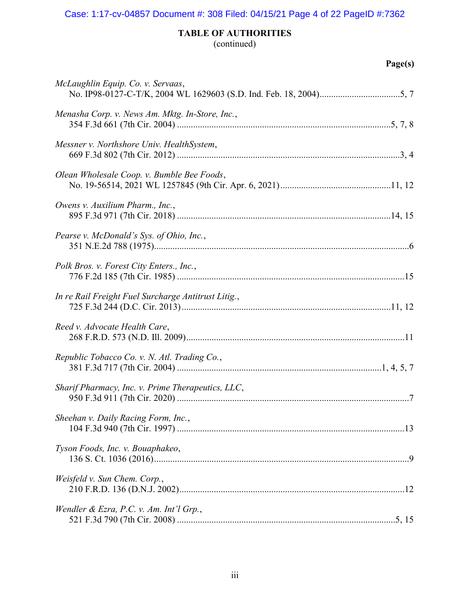# Case: 1:17-cv-04857 Document #: 308 Filed: 04/15/21 Page 4 of 22 PageID #:7362

# TABLE OF AUTHORITIES

(continued)

|  | ١Uρ<br>٠<br>۰ |  |
|--|---------------|--|
|--|---------------|--|

| McLaughlin Equip. Co. v. Servaas,                   |
|-----------------------------------------------------|
| Menasha Corp. v. News Am. Mktg. In-Store, Inc.,     |
| Messner v. Northshore Univ. HealthSystem,           |
| Olean Wholesale Coop. v. Bumble Bee Foods,          |
| Owens v. Auxilium Pharm., Inc.,                     |
| Pearse v. McDonald's Sys. of Ohio, Inc.,            |
| Polk Bros. v. Forest City Enters., Inc.,            |
| In re Rail Freight Fuel Surcharge Antitrust Litig., |
| Reed v. Advocate Health Care,                       |
| Republic Tobacco Co. v. N. Atl. Trading Co.,        |
| Sharif Pharmacy, Inc. v. Prime Therapeutics, LLC,   |
| Sheehan v. Daily Racing Form, Inc.,                 |
| Tyson Foods, Inc. v. Bouaphakeo,                    |
| Weisfeld v. Sun Chem. Corp.,                        |
| Wendler & Ezra, P.C. v. Am. Int'l Grp.,             |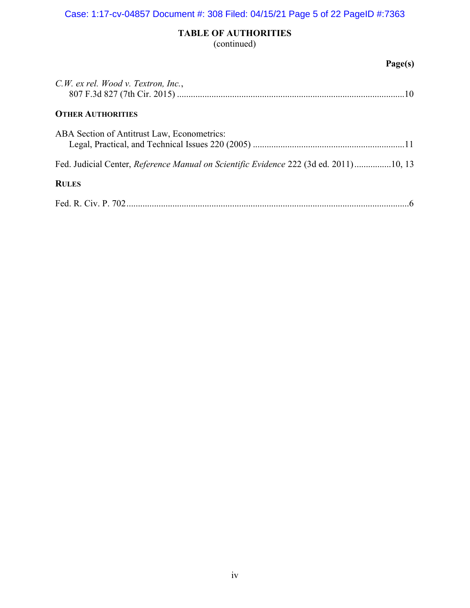# TABLE OF AUTHORITIES (continued)

# Page(s)

| C.W. ex rel. Wood v. Textron, Inc.,                                                   |
|---------------------------------------------------------------------------------------|
| <b>OTHER AUTHORITIES</b>                                                              |
| ABA Section of Antitrust Law, Econometrics:                                           |
| Fed. Judicial Center, Reference Manual on Scientific Evidence 222 (3d ed. 2011)10, 13 |
| <b>RULES</b>                                                                          |
|                                                                                       |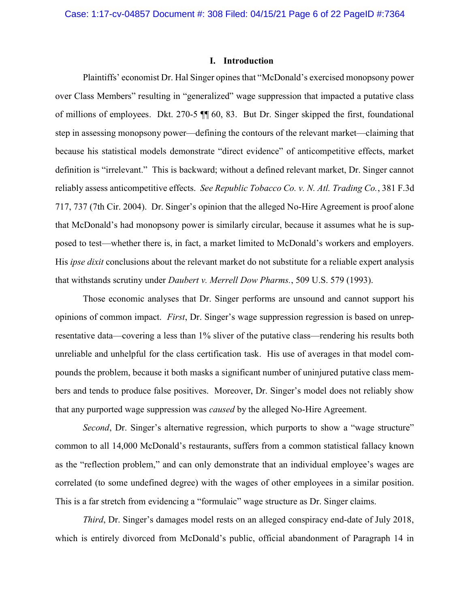#### I. Introduction

Plaintiffs' economist Dr. Hal Singer opines that "McDonald's exercised monopsony power over Class Members" resulting in "generalized" wage suppression that impacted a putative class of millions of employees. Dkt. 270-5 ¶¶ 60, 83. But Dr. Singer skipped the first, foundational step in assessing monopsony power—defining the contours of the relevant market—claiming that because his statistical models demonstrate "direct evidence" of anticompetitive effects, market definition is "irrelevant." This is backward; without a defined relevant market, Dr. Singer cannot reliably assess anticompetitive effects. See Republic Tobacco Co. v. N. Atl. Trading Co., 381 F.3d 717, 737 (7th Cir. 2004). Dr. Singer's opinion that the alleged No-Hire Agreement is proof alone that McDonald's had monopsony power is similarly circular, because it assumes what he is supposed to test—whether there is, in fact, a market limited to McDonald's workers and employers. His *ipse dixit* conclusions about the relevant market do not substitute for a reliable expert analysis that withstands scrutiny under Daubert v. Merrell Dow Pharms., 509 U.S. 579 (1993).

Those economic analyses that Dr. Singer performs are unsound and cannot support his opinions of common impact. First, Dr. Singer's wage suppression regression is based on unrepresentative data—covering a less than 1% sliver of the putative class—rendering his results both unreliable and unhelpful for the class certification task. His use of averages in that model compounds the problem, because it both masks a significant number of uninjured putative class members and tends to produce false positives. Moreover, Dr. Singer's model does not reliably show that any purported wage suppression was *caused* by the alleged No-Hire Agreement.

Second, Dr. Singer's alternative regression, which purports to show a "wage structure" common to all 14,000 McDonald's restaurants, suffers from a common statistical fallacy known as the "reflection problem," and can only demonstrate that an individual employee's wages are correlated (to some undefined degree) with the wages of other employees in a similar position. This is a far stretch from evidencing a "formulaic" wage structure as Dr. Singer claims.

Third, Dr. Singer's damages model rests on an alleged conspiracy end-date of July 2018, which is entirely divorced from McDonald's public, official abandonment of Paragraph 14 in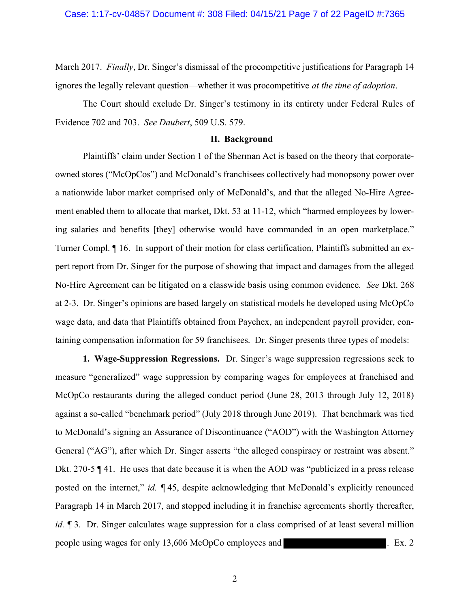March 2017. Finally, Dr. Singer's dismissal of the procompetitive justifications for Paragraph 14 ignores the legally relevant question—whether it was procompetitive at the time of adoption.

The Court should exclude Dr. Singer's testimony in its entirety under Federal Rules of Evidence 702 and 703. See Daubert, 509 U.S. 579.

## II. Background

Plaintiffs' claim under Section 1 of the Sherman Act is based on the theory that corporateowned stores ("McOpCos") and McDonald's franchisees collectively had monopsony power over a nationwide labor market comprised only of McDonald's, and that the alleged No-Hire Agreement enabled them to allocate that market, Dkt. 53 at 11-12, which "harmed employees by lowering salaries and benefits [they] otherwise would have commanded in an open marketplace." Turner Compl. ¶ 16. In support of their motion for class certification, Plaintiffs submitted an expert report from Dr. Singer for the purpose of showing that impact and damages from the alleged No-Hire Agreement can be litigated on a classwide basis using common evidence. See Dkt. 268 at 2-3. Dr. Singer's opinions are based largely on statistical models he developed using McOpCo wage data, and data that Plaintiffs obtained from Paychex, an independent payroll provider, containing compensation information for 59 franchisees. Dr. Singer presents three types of models:

1. Wage-Suppression Regressions. Dr. Singer's wage suppression regressions seek to measure "generalized" wage suppression by comparing wages for employees at franchised and McOpCo restaurants during the alleged conduct period (June 28, 2013 through July 12, 2018) against a so-called "benchmark period" (July 2018 through June 2019). That benchmark was tied to McDonald's signing an Assurance of Discontinuance ("AOD") with the Washington Attorney General ("AG"), after which Dr. Singer asserts "the alleged conspiracy or restraint was absent." Dkt. 270-5 ¶ 41. He uses that date because it is when the AOD was "publicized in a press release posted on the internet," id.  $\P$  45, despite acknowledging that McDonald's explicitly renounced Paragraph 14 in March 2017, and stopped including it in franchise agreements shortly thereafter, id.  $\parallel$  3. Dr. Singer calculates wage suppression for a class comprised of at least several million people using wages for only 13,606 McOpCo employees and . Ex. 2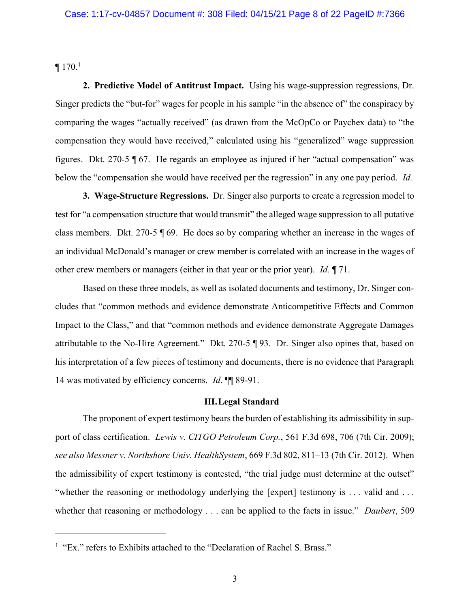$\P$  170.<sup>1</sup>

 $\overline{a}$ 

2. Predictive Model of Antitrust Impact. Using his wage-suppression regressions, Dr. Singer predicts the "but-for" wages for people in his sample "in the absence of" the conspiracy by comparing the wages "actually received" (as drawn from the McOpCo or Paychex data) to "the compensation they would have received," calculated using his "generalized" wage suppression figures. Dkt. 270-5 ¶ 67. He regards an employee as injured if her "actual compensation" was below the "compensation she would have received per the regression" in any one pay period. Id.

3. Wage-Structure Regressions. Dr. Singer also purports to create a regression model to test for "a compensation structure that would transmit" the alleged wage suppression to all putative class members. Dkt. 270-5 ¶ 69. He does so by comparing whether an increase in the wages of an individual McDonald's manager or crew member is correlated with an increase in the wages of other crew members or managers (either in that year or the prior year). Id. ¶ 71.

Based on these three models, as well as isolated documents and testimony, Dr. Singer concludes that "common methods and evidence demonstrate Anticompetitive Effects and Common Impact to the Class," and that "common methods and evidence demonstrate Aggregate Damages attributable to the No-Hire Agreement." Dkt. 270-5 ¶ 93. Dr. Singer also opines that, based on his interpretation of a few pieces of testimony and documents, there is no evidence that Paragraph 14 was motivated by efficiency concerns. *Id.* **[1]** 89-91.

#### III.Legal Standard

The proponent of expert testimony bears the burden of establishing its admissibility in support of class certification. Lewis v. CITGO Petroleum Corp., 561 F.3d 698, 706 (7th Cir. 2009); see also Messner v. Northshore Univ. HealthSystem, 669 F.3d 802, 811–13 (7th Cir. 2012). When the admissibility of expert testimony is contested, "the trial judge must determine at the outset" "whether the reasoning or methodology underlying the [expert] testimony is ... valid and ... whether that reasoning or methodology . . . can be applied to the facts in issue." Daubert, 509

<sup>&</sup>lt;sup>1</sup> "Ex." refers to Exhibits attached to the "Declaration of Rachel S. Brass."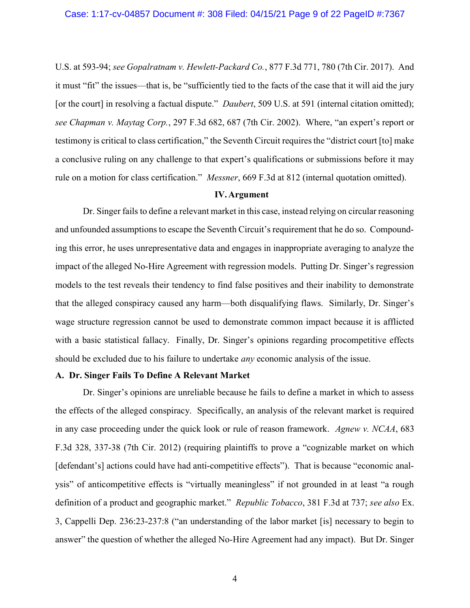U.S. at 593-94; see Gopalratnam v. Hewlett-Packard Co., 877 F.3d 771, 780 (7th Cir. 2017). And it must "fit" the issues—that is, be "sufficiently tied to the facts of the case that it will aid the jury [or the court] in resolving a factual dispute." *Daubert*, 509 U.S. at 591 (internal citation omitted); see Chapman v. Maytag Corp., 297 F.3d 682, 687 (7th Cir. 2002). Where, "an expert's report or testimony is critical to class certification," the Seventh Circuit requires the "district court [to] make a conclusive ruling on any challenge to that expert's qualifications or submissions before it may rule on a motion for class certification." Messner, 669 F.3d at 812 (internal quotation omitted).

## IV.Argument

Dr. Singer fails to define a relevant market in this case, instead relying on circular reasoning and unfounded assumptions to escape the Seventh Circuit's requirement that he do so. Compounding this error, he uses unrepresentative data and engages in inappropriate averaging to analyze the impact of the alleged No-Hire Agreement with regression models. Putting Dr. Singer's regression models to the test reveals their tendency to find false positives and their inability to demonstrate that the alleged conspiracy caused any harm—both disqualifying flaws. Similarly, Dr. Singer's wage structure regression cannot be used to demonstrate common impact because it is afflicted with a basic statistical fallacy. Finally, Dr. Singer's opinions regarding procompetitive effects should be excluded due to his failure to undertake *any* economic analysis of the issue.

#### A. Dr. Singer Fails To Define A Relevant Market

Dr. Singer's opinions are unreliable because he fails to define a market in which to assess the effects of the alleged conspiracy. Specifically, an analysis of the relevant market is required in any case proceeding under the quick look or rule of reason framework. Agnew v. NCAA, 683 F.3d 328, 337-38 (7th Cir. 2012) (requiring plaintiffs to prove a "cognizable market on which [defendant's] actions could have had anti-competitive effects"). That is because "economic analysis" of anticompetitive effects is "virtually meaningless" if not grounded in at least "a rough definition of a product and geographic market." Republic Tobacco, 381 F.3d at 737; see also Ex. 3, Cappelli Dep. 236:23-237:8 ("an understanding of the labor market [is] necessary to begin to answer" the question of whether the alleged No-Hire Agreement had any impact). But Dr. Singer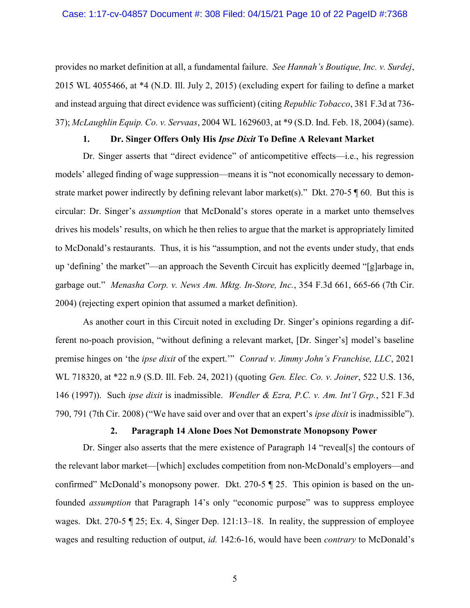provides no market definition at all, a fundamental failure. See Hannah's Boutique, Inc. v. Surdej, 2015 WL 4055466, at \*4 (N.D. Ill. July 2, 2015) (excluding expert for failing to define a market and instead arguing that direct evidence was sufficient) (citing Republic Tobacco, 381 F.3d at 736- 37); McLaughlin Equip. Co. v. Servaas, 2004 WL 1629603, at \*9 (S.D. Ind. Feb. 18, 2004) (same).

## 1. Dr. Singer Offers Only His Ipse Dixit To Define A Relevant Market

Dr. Singer asserts that "direct evidence" of anticompetitive effects—i.e., his regression models' alleged finding of wage suppression—means it is "not economically necessary to demonstrate market power indirectly by defining relevant labor market(s)." Dkt. 270-5  $\parallel$  60. But this is circular: Dr. Singer's assumption that McDonald's stores operate in a market unto themselves drives his models' results, on which he then relies to argue that the market is appropriately limited to McDonald's restaurants. Thus, it is his "assumption, and not the events under study, that ends up 'defining' the market"—an approach the Seventh Circuit has explicitly deemed "[g]arbage in, garbage out." Menasha Corp. v. News Am. Mktg. In-Store, Inc., 354 F.3d 661, 665-66 (7th Cir. 2004) (rejecting expert opinion that assumed a market definition).

As another court in this Circuit noted in excluding Dr. Singer's opinions regarding a different no-poach provision, "without defining a relevant market, [Dr. Singer's] model's baseline premise hinges on 'the *ipse dixit* of the expert.'" Conrad v. Jimmy John's Franchise, LLC, 2021 WL 718320, at \*22 n.9 (S.D. Ill. Feb. 24, 2021) (quoting Gen. Elec. Co. v. Joiner, 522 U.S. 136, 146 (1997)). Such ipse dixit is inadmissible. Wendler & Ezra, P.C. v. Am. Int'l Grp., 521 F.3d 790, 791 (7th Cir. 2008) ("We have said over and over that an expert's *ipse dixit* is inadmissible").

# 2. Paragraph 14 Alone Does Not Demonstrate Monopsony Power

Dr. Singer also asserts that the mere existence of Paragraph 14 "reveal[s] the contours of the relevant labor market—[which] excludes competition from non-McDonald's employers—and confirmed" McDonald's monopsony power. Dkt. 270-5 ¶ 25. This opinion is based on the unfounded assumption that Paragraph 14's only "economic purpose" was to suppress employee wages. Dkt. 270-5 ¶ 25; Ex. 4, Singer Dep. 121:13–18. In reality, the suppression of employee wages and resulting reduction of output, id. 142:6-16, would have been *contrary* to McDonald's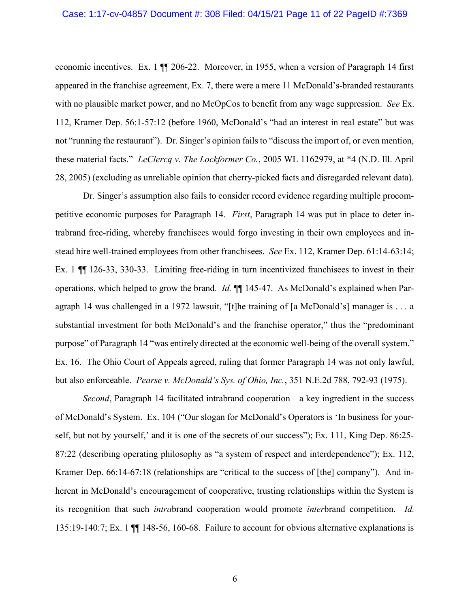economic incentives. Ex. 1 ¶¶ 206-22. Moreover, in 1955, when a version of Paragraph 14 first appeared in the franchise agreement, Ex. 7, there were a mere 11 McDonald's-branded restaurants with no plausible market power, and no McOpCos to benefit from any wage suppression. See Ex. 112, Kramer Dep. 56:1-57:12 (before 1960, McDonald's "had an interest in real estate" but was not "running the restaurant"). Dr. Singer's opinion fails to "discuss the import of, or even mention, these material facts." LeClercq v. The Lockformer Co., 2005 WL 1162979, at \*4 (N.D. Ill. April 28, 2005) (excluding as unreliable opinion that cherry-picked facts and disregarded relevant data).

Dr. Singer's assumption also fails to consider record evidence regarding multiple procompetitive economic purposes for Paragraph 14. First, Paragraph 14 was put in place to deter intrabrand free-riding, whereby franchisees would forgo investing in their own employees and instead hire well-trained employees from other franchisees. See Ex. 112, Kramer Dep. 61:14-63:14; Ex. 1 ¶¶ 126-33, 330-33. Limiting free-riding in turn incentivized franchisees to invest in their operations, which helped to grow the brand. *Id.*  $\llbracket \llbracket$  145-47. As McDonald's explained when Paragraph 14 was challenged in a 1972 lawsuit, "[t]he training of [a McDonald's] manager is . . . a substantial investment for both McDonald's and the franchise operator," thus the "predominant purpose" of Paragraph 14 "was entirely directed at the economic well-being of the overall system." Ex. 16. The Ohio Court of Appeals agreed, ruling that former Paragraph 14 was not only lawful, but also enforceable. *Pearse v. McDonald's Sys. of Ohio, Inc.*, 351 N.E.2d 788, 792-93 (1975).

Second, Paragraph 14 facilitated intrabrand cooperation—a key ingredient in the success of McDonald's System. Ex. 104 ("Our slogan for McDonald's Operators is 'In business for yourself, but not by yourself,' and it is one of the secrets of our success"); Ex. 111, King Dep. 86:25- 87:22 (describing operating philosophy as "a system of respect and interdependence"); Ex. 112, Kramer Dep. 66:14-67:18 (relationships are "critical to the success of [the] company"). And inherent in McDonald's encouragement of cooperative, trusting relationships within the System is its recognition that such intrabrand cooperation would promote interbrand competition. Id. 135:19-140:7; Ex. 1 ¶¶ 148-56, 160-68. Failure to account for obvious alternative explanations is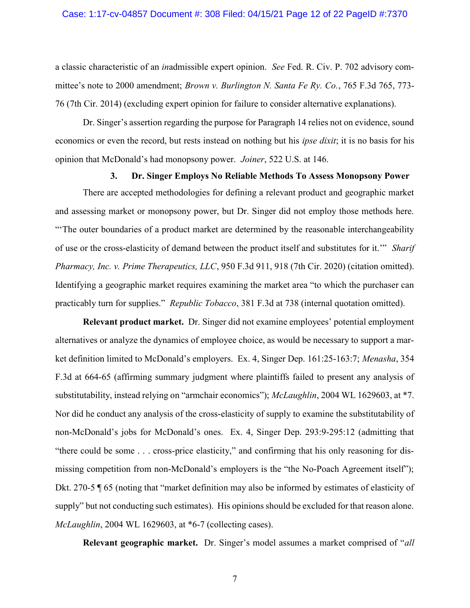a classic characteristic of an inadmissible expert opinion. See Fed. R. Civ. P. 702 advisory committee's note to 2000 amendment; Brown v. Burlington N. Santa Fe Ry. Co., 765 F.3d 765, 773-76 (7th Cir. 2014) (excluding expert opinion for failure to consider alternative explanations).

Dr. Singer's assertion regarding the purpose for Paragraph 14 relies not on evidence, sound economics or even the record, but rests instead on nothing but his *ipse dixit*; it is no basis for his opinion that McDonald's had monopsony power. Joiner, 522 U.S. at 146.

## 3. Dr. Singer Employs No Reliable Methods To Assess Monopsony Power

There are accepted methodologies for defining a relevant product and geographic market and assessing market or monopsony power, but Dr. Singer did not employ those methods here. "'The outer boundaries of a product market are determined by the reasonable interchangeability of use or the cross-elasticity of demand between the product itself and substitutes for it.'" Sharif Pharmacy, Inc. v. Prime Therapeutics, LLC, 950 F.3d 911, 918 (7th Cir. 2020) (citation omitted). Identifying a geographic market requires examining the market area "to which the purchaser can practicably turn for supplies." Republic Tobacco, 381 F.3d at 738 (internal quotation omitted).

Relevant product market. Dr. Singer did not examine employees' potential employment alternatives or analyze the dynamics of employee choice, as would be necessary to support a market definition limited to McDonald's employers. Ex. 4, Singer Dep. 161:25-163:7; Menasha, 354 F.3d at 664-65 (affirming summary judgment where plaintiffs failed to present any analysis of substitutability, instead relying on "armchair economics"); McLaughlin, 2004 WL 1629603, at \*7. Nor did he conduct any analysis of the cross-elasticity of supply to examine the substitutability of non-McDonald's jobs for McDonald's ones. Ex. 4, Singer Dep. 293:9-295:12 (admitting that "there could be some . . . cross-price elasticity," and confirming that his only reasoning for dismissing competition from non-McDonald's employers is the "the No-Poach Agreement itself"); Dkt. 270-5 ¶ 65 (noting that "market definition may also be informed by estimates of elasticity of supply" but not conducting such estimates). His opinions should be excluded for that reason alone. McLaughlin, 2004 WL 1629603, at \*6-7 (collecting cases).

Relevant geographic market. Dr. Singer's model assumes a market comprised of "all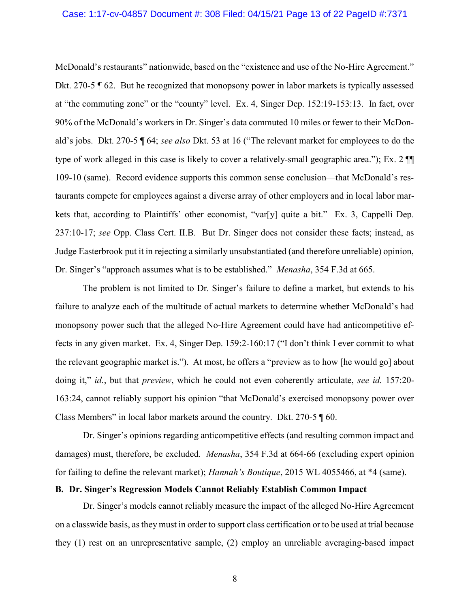#### Case: 1:17-cv-04857 Document #: 308 Filed: 04/15/21 Page 13 of 22 PageID #:7371

McDonald's restaurants" nationwide, based on the "existence and use of the No-Hire Agreement." Dkt. 270-5 ¶ 62. But he recognized that monopsony power in labor markets is typically assessed at "the commuting zone" or the "county" level. Ex. 4, Singer Dep. 152:19-153:13. In fact, over 90% of the McDonald's workers in Dr. Singer's data commuted 10 miles or fewer to their McDonald's jobs. Dkt. 270-5 ¶ 64; see also Dkt. 53 at 16 ("The relevant market for employees to do the type of work alleged in this case is likely to cover a relatively-small geographic area."); Ex. 2 ¶¶ 109-10 (same). Record evidence supports this common sense conclusion—that McDonald's restaurants compete for employees against a diverse array of other employers and in local labor markets that, according to Plaintiffs' other economist, "var[y] quite a bit." Ex. 3, Cappelli Dep. 237:10-17; see Opp. Class Cert. II.B. But Dr. Singer does not consider these facts; instead, as Judge Easterbrook put it in rejecting a similarly unsubstantiated (and therefore unreliable) opinion, Dr. Singer's "approach assumes what is to be established." Menasha, 354 F.3d at 665.

The problem is not limited to Dr. Singer's failure to define a market, but extends to his failure to analyze each of the multitude of actual markets to determine whether McDonald's had monopsony power such that the alleged No-Hire Agreement could have had anticompetitive effects in any given market. Ex. 4, Singer Dep. 159:2-160:17 ("I don't think I ever commit to what the relevant geographic market is."). At most, he offers a "preview as to how [he would go] about doing it," id., but that *preview*, which he could not even coherently articulate, see id. 157:20-163:24, cannot reliably support his opinion "that McDonald's exercised monopsony power over Class Members" in local labor markets around the country. Dkt. 270-5 ¶ 60.

Dr. Singer's opinions regarding anticompetitive effects (and resulting common impact and damages) must, therefore, be excluded. *Menasha*, 354 F.3d at 664-66 (excluding expert opinion for failing to define the relevant market); Hannah's Boutique, 2015 WL 4055466, at \*4 (same).

## B. Dr. Singer's Regression Models Cannot Reliably Establish Common Impact

Dr. Singer's models cannot reliably measure the impact of the alleged No-Hire Agreement on a classwide basis, as they must in order to support class certification or to be used at trial because they (1) rest on an unrepresentative sample, (2) employ an unreliable averaging-based impact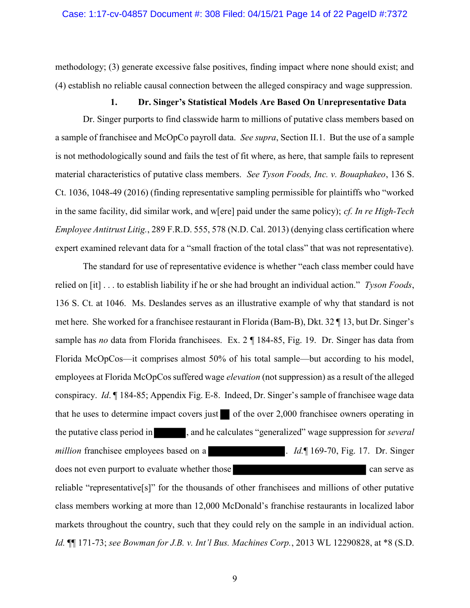methodology; (3) generate excessive false positives, finding impact where none should exist; and (4) establish no reliable causal connection between the alleged conspiracy and wage suppression.

#### 1. Dr. Singer's Statistical Models Are Based On Unrepresentative Data

Dr. Singer purports to find classwide harm to millions of putative class members based on a sample of franchisee and McOpCo payroll data. See supra, Section II.1. But the use of a sample is not methodologically sound and fails the test of fit where, as here, that sample fails to represent material characteristics of putative class members. See Tyson Foods, Inc. v. Bouaphakeo, 136 S. Ct. 1036, 1048-49 (2016) (finding representative sampling permissible for plaintiffs who "worked in the same facility, did similar work, and w[ere] paid under the same policy); cf. In re High-Tech Employee Antitrust Litig., 289 F.R.D. 555, 578 (N.D. Cal. 2013) (denying class certification where expert examined relevant data for a "small fraction of the total class" that was not representative).

The standard for use of representative evidence is whether "each class member could have relied on [it]  $\ldots$  to establish liability if he or she had brought an individual action." Tyson Foods, 136 S. Ct. at 1046. Ms. Deslandes serves as an illustrative example of why that standard is not met here. She worked for a franchisee restaurant in Florida (Bam-B), Dkt. 32 ¶ 13, but Dr. Singer's sample has no data from Florida franchisees. Ex. 2 ¶ 184-85, Fig. 19. Dr. Singer has data from Florida McOpCos—it comprises almost 50% of his total sample—but according to his model, employees at Florida McOpCos suffered wage elevation (not suppression) as a result of the alleged conspiracy. Id. ¶ 184-85; Appendix Fig. E-8. Indeed, Dr. Singer's sample of franchisee wage data that he uses to determine impact covers just of the over  $2,000$  franchisee owners operating in the putative class period in , and he calculates "generalized" wage suppression for several million franchisee employees based on a ... Id. 169-70, Fig. 17. Dr. Singer does not even purport to evaluate whether those can serve as can serve as can serve as reliable "representative[s]" for the thousands of other franchisees and millions of other putative class members working at more than 12,000 McDonald's franchise restaurants in localized labor markets throughout the country, such that they could rely on the sample in an individual action. Id. ¶¶ 171-73; see Bowman for J.B. v. Int'l Bus. Machines Corp., 2013 WL 12290828, at \*8 (S.D.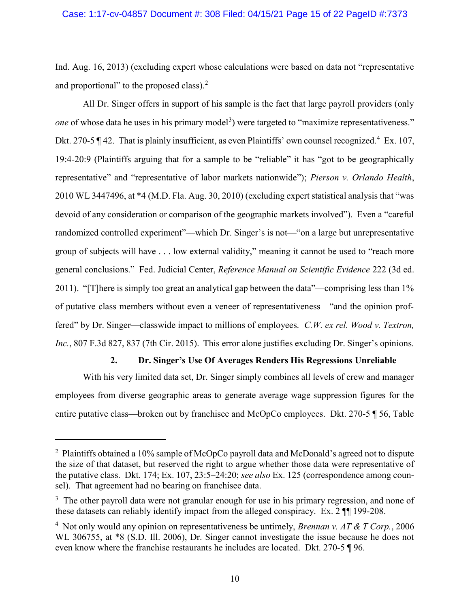Ind. Aug. 16, 2013) (excluding expert whose calculations were based on data not "representative and proportional" to the proposed class). $<sup>2</sup>$ </sup>

All Dr. Singer offers in support of his sample is the fact that large payroll providers (only one of whose data he uses in his primary model<sup>3</sup>) were targeted to "maximize representativeness." Dkt. 270-5  $\P$  42. That is plainly insufficient, as even Plaintiffs' own counsel recognized.<sup>4</sup> Ex. 107, 19:4-20:9 (Plaintiffs arguing that for a sample to be "reliable" it has "got to be geographically representative" and "representative of labor markets nationwide"); Pierson v. Orlando Health, 2010 WL 3447496, at \*4 (M.D. Fla. Aug. 30, 2010) (excluding expert statistical analysis that "was devoid of any consideration or comparison of the geographic markets involved"). Even a "careful randomized controlled experiment"—which Dr. Singer's is not—"on a large but unrepresentative group of subjects will have . . . low external validity," meaning it cannot be used to "reach more general conclusions." Fed. Judicial Center, Reference Manual on Scientific Evidence 222 (3d ed. 2011). "[T]here is simply too great an analytical gap between the data"—comprising less than 1% of putative class members without even a veneer of representativeness—"and the opinion proffered" by Dr. Singer—classwide impact to millions of employees. C.W. ex rel. Wood v. Textron, Inc., 807 F.3d 827, 837 (7th Cir. 2015). This error alone justifies excluding Dr. Singer's opinions.

# 2. Dr. Singer's Use Of Averages Renders His Regressions Unreliable

With his very limited data set, Dr. Singer simply combines all levels of crew and manager employees from diverse geographic areas to generate average wage suppression figures for the entire putative class—broken out by franchisee and McOpCo employees. Dkt. 270-5 ¶ 56, Table

 $\overline{a}$ 

<sup>&</sup>lt;sup>2</sup> Plaintiffs obtained a 10% sample of McOpCo payroll data and McDonald's agreed not to dispute the size of that dataset, but reserved the right to argue whether those data were representative of the putative class. Dkt. 174; Ex. 107, 23:5-24:20; see also Ex. 125 (correspondence among counsel). That agreement had no bearing on franchisee data.

 $3$  The other payroll data were not granular enough for use in his primary regression, and none of these datasets can reliably identify impact from the alleged conspiracy. Ex. 2 ¶¶ 199-208.

<sup>&</sup>lt;sup>4</sup> Not only would any opinion on representativeness be untimely, *Brennan v. AT & T Corp.*, 2006 WL 306755, at  $*8$  (S.D. Ill. 2006), Dr. Singer cannot investigate the issue because he does not even know where the franchise restaurants he includes are located. Dkt. 270-5 ¶ 96.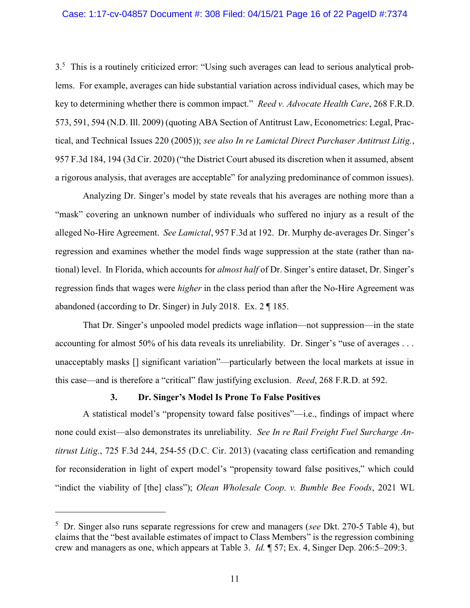#### Case: 1:17-cv-04857 Document #: 308 Filed: 04/15/21 Page 16 of 22 PageID #:7374

3.<sup>5</sup> This is a routinely criticized error: "Using such averages can lead to serious analytical problems. For example, averages can hide substantial variation across individual cases, which may be key to determining whether there is common impact." Reed v. Advocate Health Care, 268 F.R.D. 573, 591, 594 (N.D. Ill. 2009) (quoting ABA Section of Antitrust Law, Econometrics: Legal, Practical, and Technical Issues 220 (2005)); see also In re Lamictal Direct Purchaser Antitrust Litig., 957 F.3d 184, 194 (3d Cir. 2020) ("the District Court abused its discretion when it assumed, absent a rigorous analysis, that averages are acceptable" for analyzing predominance of common issues).

Analyzing Dr. Singer's model by state reveals that his averages are nothing more than a "mask" covering an unknown number of individuals who suffered no injury as a result of the alleged No-Hire Agreement. See Lamictal, 957 F.3d at 192. Dr. Murphy de-averages Dr. Singer's regression and examines whether the model finds wage suppression at the state (rather than national) level. In Florida, which accounts for *almost half* of Dr. Singer's entire dataset, Dr. Singer's regression finds that wages were *higher* in the class period than after the No-Hire Agreement was abandoned (according to Dr. Singer) in July 2018. Ex. 2 ¶ 185.

That Dr. Singer's unpooled model predicts wage inflation—not suppression—in the state accounting for almost 50% of his data reveals its unreliability. Dr. Singer's "use of averages ... unacceptably masks [] significant variation"—particularly between the local markets at issue in this case—and is therefore a "critical" flaw justifying exclusion. Reed, 268 F.R.D. at 592.

# 3. Dr. Singer's Model Is Prone To False Positives

-

A statistical model's "propensity toward false positives"—i.e., findings of impact where none could exist—also demonstrates its unreliability. See In re Rail Freight Fuel Surcharge Antitrust Litig., 725 F.3d 244, 254-55 (D.C. Cir. 2013) (vacating class certification and remanding for reconsideration in light of expert model's "propensity toward false positives," which could "indict the viability of [the] class"); Olean Wholesale Coop. v. Bumble Bee Foods, 2021 WL

<sup>&</sup>lt;sup>5</sup> Dr. Singer also runs separate regressions for crew and managers (see Dkt. 270-5 Table 4), but claims that the "best available estimates of impact to Class Members" is the regression combining crew and managers as one, which appears at Table 3. Id. ¶ 57; Ex. 4, Singer Dep. 206:5–209:3.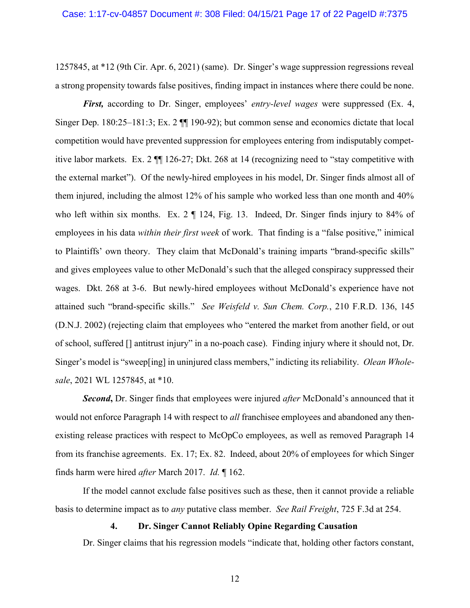1257845, at \*12 (9th Cir. Apr. 6, 2021) (same). Dr. Singer's wage suppression regressions reveal a strong propensity towards false positives, finding impact in instances where there could be none.

First, according to Dr. Singer, employees' entry-level wages were suppressed (Ex. 4, Singer Dep. 180:25–181:3; Ex. 2 ¶¶ 190-92); but common sense and economics dictate that local competition would have prevented suppression for employees entering from indisputably competitive labor markets. Ex. 2 ¶¶ 126-27; Dkt. 268 at 14 (recognizing need to "stay competitive with the external market"). Of the newly-hired employees in his model, Dr. Singer finds almost all of them injured, including the almost 12% of his sample who worked less than one month and 40% who left within six months. Ex. 2  $\P$  124, Fig. 13. Indeed, Dr. Singer finds injury to 84% of employees in his data *within their first week* of work. That finding is a "false positive," inimical to Plaintiffs' own theory. They claim that McDonald's training imparts "brand-specific skills" and gives employees value to other McDonald's such that the alleged conspiracy suppressed their wages. Dkt. 268 at 3-6. But newly-hired employees without McDonald's experience have not attained such "brand-specific skills." See Weisfeld v. Sun Chem. Corp., 210 F.R.D. 136, 145 (D.N.J. 2002) (rejecting claim that employees who "entered the market from another field, or out of school, suffered [] antitrust injury" in a no-poach case). Finding injury where it should not, Dr. Singer's model is "sweep[ing] in uninjured class members," indicting its reliability. Olean Wholesale, 2021 WL 1257845, at \*10.

**Second, Dr.** Singer finds that employees were injured *after* McDonald's announced that it would not enforce Paragraph 14 with respect to *all* franchisee employees and abandoned any thenexisting release practices with respect to McOpCo employees, as well as removed Paragraph 14 from its franchise agreements. Ex. 17; Ex. 82. Indeed, about 20% of employees for which Singer finds harm were hired after March 2017. Id. ¶ 162.

If the model cannot exclude false positives such as these, then it cannot provide a reliable basis to determine impact as to any putative class member. See Rail Freight, 725 F.3d at 254.

## 4. Dr. Singer Cannot Reliably Opine Regarding Causation

Dr. Singer claims that his regression models "indicate that, holding other factors constant,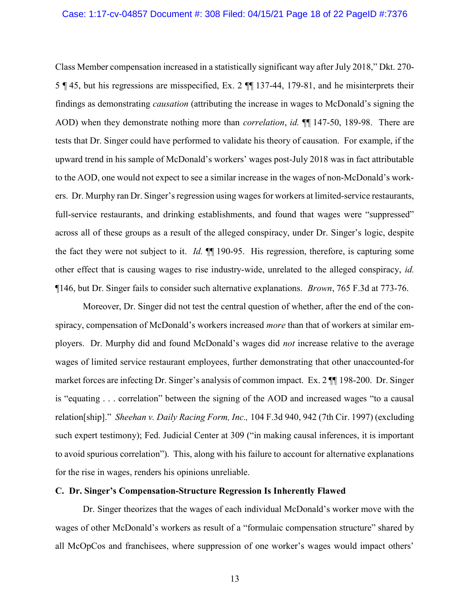Class Member compensation increased in a statistically significant way after July 2018," Dkt. 270- 5 ¶ 45, but his regressions are misspecified, Ex. 2 ¶¶ 137-44, 179-81, and he misinterprets their findings as demonstrating causation (attributing the increase in wages to McDonald's signing the AOD) when they demonstrate nothing more than *correlation*, *id.*  $\P$  147-50, 189-98. There are tests that Dr. Singer could have performed to validate his theory of causation. For example, if the upward trend in his sample of McDonald's workers' wages post-July 2018 was in fact attributable to the AOD, one would not expect to see a similar increase in the wages of non-McDonald's workers. Dr. Murphy ran Dr. Singer's regression using wages for workers at limited-service restaurants, full-service restaurants, and drinking establishments, and found that wages were "suppressed" across all of these groups as a result of the alleged conspiracy, under Dr. Singer's logic, despite the fact they were not subject to it. Id. ¶¶ 190-95. His regression, therefore, is capturing some other effect that is causing wages to rise industry-wide, unrelated to the alleged conspiracy, id. ¶146, but Dr. Singer fails to consider such alternative explanations. Brown, 765 F.3d at 773-76.

Moreover, Dr. Singer did not test the central question of whether, after the end of the conspiracy, compensation of McDonald's workers increased *more* than that of workers at similar employers. Dr. Murphy did and found McDonald's wages did not increase relative to the average wages of limited service restaurant employees, further demonstrating that other unaccounted-for market forces are infecting Dr. Singer's analysis of common impact. Ex. 2 ¶¶ 198-200. Dr. Singer is "equating . . . correlation" between the signing of the AOD and increased wages "to a causal relation[ship]." Sheehan v. Daily Racing Form, Inc., 104 F.3d 940, 942 (7th Cir. 1997) (excluding such expert testimony); Fed. Judicial Center at 309 ("in making causal inferences, it is important to avoid spurious correlation"). This, along with his failure to account for alternative explanations for the rise in wages, renders his opinions unreliable.

## C. Dr. Singer's Compensation-Structure Regression Is Inherently Flawed

Dr. Singer theorizes that the wages of each individual McDonald's worker move with the wages of other McDonald's workers as result of a "formulaic compensation structure" shared by all McOpCos and franchisees, where suppression of one worker's wages would impact others'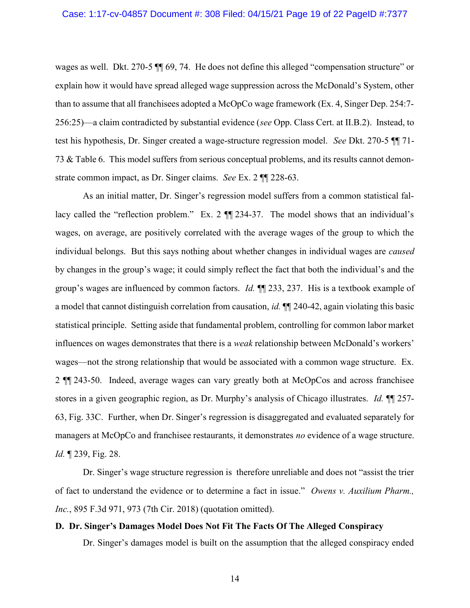wages as well. Dkt. 270-5 ¶¶ 69, 74. He does not define this alleged "compensation structure" or explain how it would have spread alleged wage suppression across the McDonald's System, other than to assume that all franchisees adopted a McOpCo wage framework (Ex. 4, Singer Dep. 254:7- 256:25)—a claim contradicted by substantial evidence (see Opp. Class Cert. at II.B.2). Instead, to test his hypothesis, Dr. Singer created a wage-structure regression model. See Dkt. 270-5 ¶¶ 71- 73 & Table 6. This model suffers from serious conceptual problems, and its results cannot demonstrate common impact, as Dr. Singer claims. See Ex. 2 ¶¶ 228-63.

As an initial matter, Dr. Singer's regression model suffers from a common statistical fallacy called the "reflection problem." Ex. 2 ¶¶ 234-37. The model shows that an individual's wages, on average, are positively correlated with the average wages of the group to which the individual belongs. But this says nothing about whether changes in individual wages are *caused* by changes in the group's wage; it could simply reflect the fact that both the individual's and the group's wages are influenced by common factors. *Id.*  $\P$  233, 237. His is a textbook example of a model that cannot distinguish correlation from causation, *id*.  $\P$  240-42, again violating this basic statistical principle. Setting aside that fundamental problem, controlling for common labor market influences on wages demonstrates that there is a *weak* relationship between McDonald's workers' wages—not the strong relationship that would be associated with a common wage structure. Ex. 2 ¶¶ 243-50. Indeed, average wages can vary greatly both at McOpCos and across franchisee stores in a given geographic region, as Dr. Murphy's analysis of Chicago illustrates. Id.  $\P$  257-63, Fig. 33C. Further, when Dr. Singer's regression is disaggregated and evaluated separately for managers at McOpCo and franchisee restaurants, it demonstrates no evidence of a wage structure. Id. ¶ 239, Fig. 28.

Dr. Singer's wage structure regression is therefore unreliable and does not "assist the trier of fact to understand the evidence or to determine a fact in issue." Owens v. Auxilium Pharm., Inc., 895 F.3d 971, 973 (7th Cir. 2018) (quotation omitted).

## D. Dr. Singer's Damages Model Does Not Fit The Facts Of The Alleged Conspiracy

Dr. Singer's damages model is built on the assumption that the alleged conspiracy ended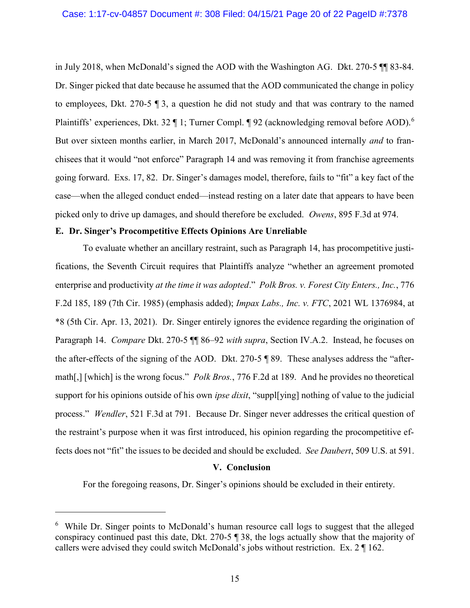in July 2018, when McDonald's signed the AOD with the Washington AG. Dkt. 270-5 ¶¶ 83-84. Dr. Singer picked that date because he assumed that the AOD communicated the change in policy to employees, Dkt. 270-5 ¶ 3, a question he did not study and that was contrary to the named Plaintiffs' experiences, Dkt. 32 ¶ 1; Turner Compl. ¶ 92 (acknowledging removal before AOD).<sup>6</sup> But over sixteen months earlier, in March 2017, McDonald's announced internally *and* to franchisees that it would "not enforce" Paragraph 14 and was removing it from franchise agreements going forward. Exs. 17, 82. Dr. Singer's damages model, therefore, fails to "fit" a key fact of the case—when the alleged conduct ended—instead resting on a later date that appears to have been picked only to drive up damages, and should therefore be excluded. Owens, 895 F.3d at 974.

#### E. Dr. Singer's Procompetitive Effects Opinions Are Unreliable

-

To evaluate whether an ancillary restraint, such as Paragraph 14, has procompetitive justifications, the Seventh Circuit requires that Plaintiffs analyze "whether an agreement promoted enterprise and productivity at the time it was adopted." Polk Bros. v. Forest City Enters., Inc., 776 F.2d 185, 189 (7th Cir. 1985) (emphasis added); Impax Labs., Inc. v. FTC, 2021 WL 1376984, at \*8 (5th Cir. Apr. 13, 2021). Dr. Singer entirely ignores the evidence regarding the origination of Paragraph 14. Compare Dkt. 270-5  $\P$  86–92 with supra, Section IV.A.2. Instead, he focuses on the after-effects of the signing of the AOD. Dkt. 270-5 ¶ 89. These analyses address the "aftermath[,] [which] is the wrong focus." *Polk Bros.*, 776 F.2d at 189. And he provides no theoretical support for his opinions outside of his own *ipse dixit*, "suppl<sup>[ying]</sup> nothing of value to the judicial process." Wendler, 521 F.3d at 791. Because Dr. Singer never addresses the critical question of the restraint's purpose when it was first introduced, his opinion regarding the procompetitive effects does not "fit" the issues to be decided and should be excluded. See Daubert, 509 U.S. at 591.

#### V. Conclusion

For the foregoing reasons, Dr. Singer's opinions should be excluded in their entirety.

<sup>&</sup>lt;sup>6</sup> While Dr. Singer points to McDonald's human resource call logs to suggest that the alleged conspiracy continued past this date, Dkt. 270-5 ¶ 38, the logs actually show that the majority of callers were advised they could switch McDonald's jobs without restriction. Ex. 2 ¶ 162.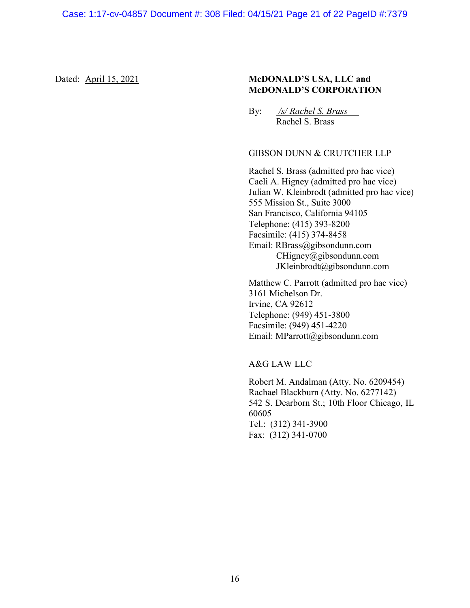## Dated: April 15, 2021 McDONALD'S USA, LLC and McDONALD'S CORPORATION

By: /s/ Rachel S. Brass Rachel S. Brass

# GIBSON DUNN & CRUTCHER LLP

Rachel S. Brass (admitted pro hac vice) Caeli A. Higney (admitted pro hac vice) Julian W. Kleinbrodt (admitted pro hac vice) 555 Mission St., Suite 3000 San Francisco, California 94105 Telephone: (415) 393-8200 Facsimile: (415) 374-8458 Email: RBrass@gibsondunn.com CHigney@gibsondunn.com JKleinbrodt@gibsondunn.com

Matthew C. Parrott (admitted pro hac vice) 3161 Michelson Dr. Irvine, CA 92612 Telephone: (949) 451-3800 Facsimile: (949) 451-4220 Email: MParrott@gibsondunn.com

## A&G LAW LLC

Robert M. Andalman (Atty. No. 6209454) Rachael Blackburn (Atty. No. 6277142) 542 S. Dearborn St.; 10th Floor Chicago, IL 60605 Tel.: (312) 341-3900 Fax: (312) 341-0700